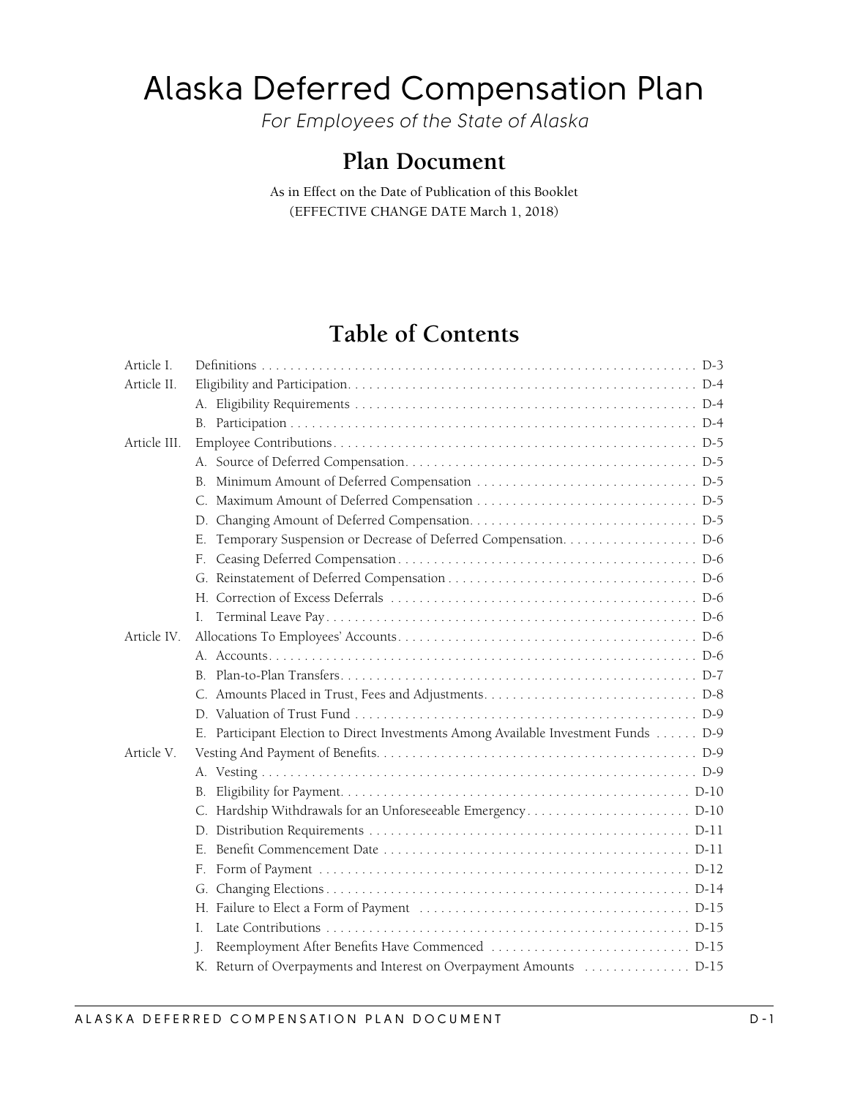# Alaska Deferred Compensation Plan

*For Employees of the State of Alaska*

## **Plan Document**

As in Effect on the Date of Publication of this Booklet (EFFECTIVE CHANGE DATE March 1, 2018)

## **Table of Contents**

| F.                                                                                 |
|------------------------------------------------------------------------------------|
|                                                                                    |
|                                                                                    |
|                                                                                    |
|                                                                                    |
|                                                                                    |
|                                                                                    |
|                                                                                    |
|                                                                                    |
| E. Participant Election to Direct Investments Among Available Investment Funds D-9 |
|                                                                                    |
|                                                                                    |
| B.                                                                                 |
|                                                                                    |
|                                                                                    |
|                                                                                    |
| F.                                                                                 |
|                                                                                    |
|                                                                                    |
| L                                                                                  |
|                                                                                    |
| K. Return of Overpayments and Interest on Overpayment Amounts  D-15                |
|                                                                                    |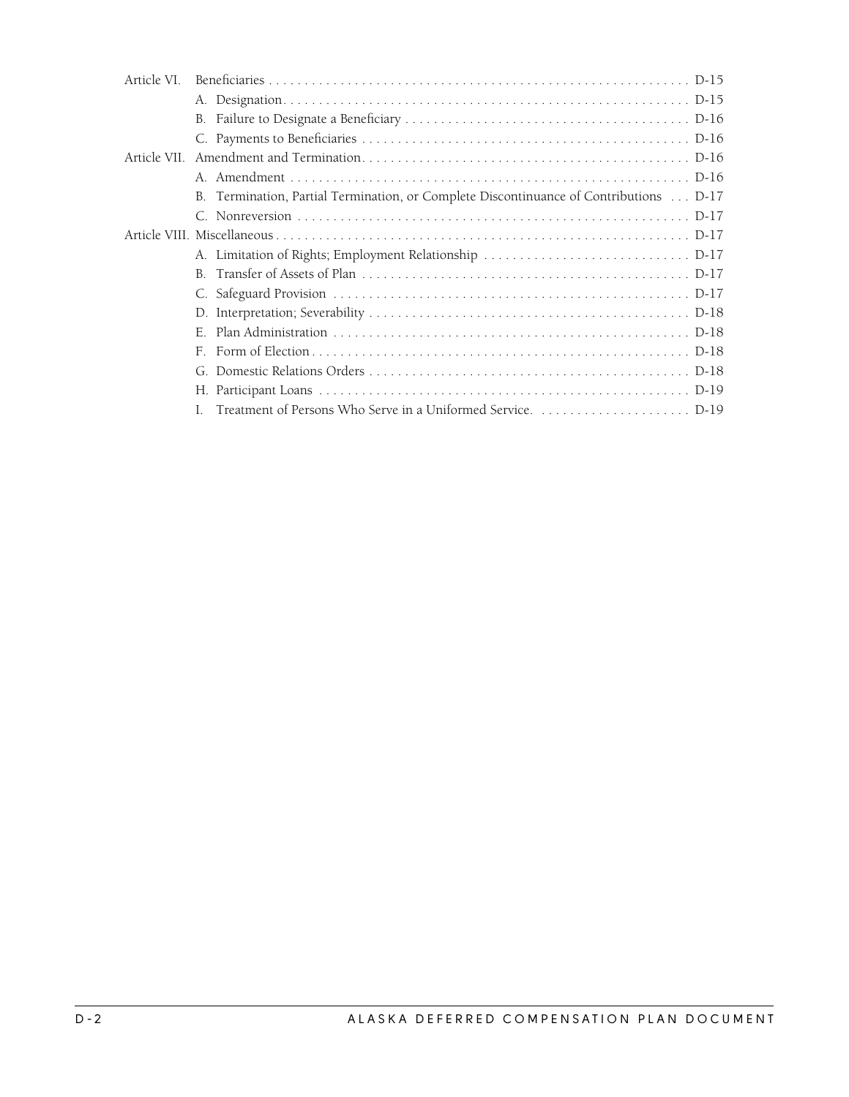| Article VI. |    |                                                                                       |
|-------------|----|---------------------------------------------------------------------------------------|
|             |    |                                                                                       |
|             |    |                                                                                       |
|             |    |                                                                                       |
|             |    |                                                                                       |
|             |    |                                                                                       |
|             |    | B. Termination, Partial Termination, or Complete Discontinuance of Contributions D-17 |
|             |    |                                                                                       |
|             |    |                                                                                       |
|             |    |                                                                                       |
|             |    |                                                                                       |
|             |    |                                                                                       |
|             |    |                                                                                       |
|             | F. |                                                                                       |
|             | F. |                                                                                       |
|             | G  |                                                                                       |
|             |    |                                                                                       |
|             |    |                                                                                       |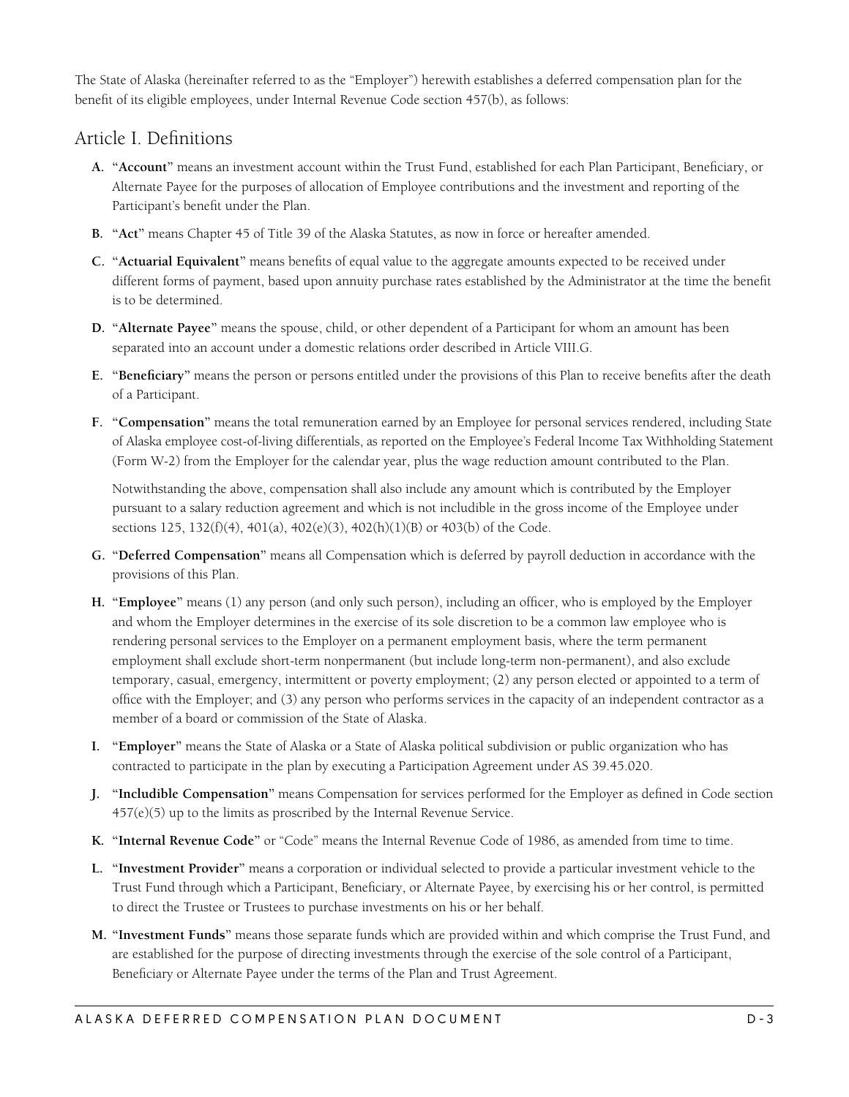<span id="page-2-0"></span>The State of Alaska (hereinafter referred to as the "Employer") herewith establishes a deferred compensation plan for the benefit of its eligible employees, under Internal Revenue Code section 457(b), as follows:

## Article I. Definitions

- **A. "Account"** means an investment account within the Trust Fund, established for each Plan Participant, Beneficiary, or Alternate Payee for the purposes of allocation of Employee contributions and the investment and reporting of the Participant's benefit under the Plan.
- **B. "Act"** means Chapter 45 of Title 39 of the Alaska Statutes, as now in force or hereafter amended.
- **C. "Actuarial Equivalent"** means benefits of equal value to the aggregate amounts expected to be received under different forms of payment, based upon annuity purchase rates established by the Administrator at the time the benefit is to be determined.
- **D. "Alternate Payee"** means the spouse, child, or other dependent of a Participant for whom an amount has been separated into an account under a domestic relations order described in Article VIII.G.
- **E. "Beneficiary"** means the person or persons entitled under the provisions of this Plan to receive benefits after the death of a Participant.
- **F. "Compensation"** means the total remuneration earned by an Employee for personal services rendered, including State of Alaska employee cost-of-living differentials, as reported on the Employee's Federal Income Tax Withholding Statement (Form W-2) from the Employer for the calendar year, plus the wage reduction amount contributed to the Plan.

Notwithstanding the above, compensation shall also include any amount which is contributed by the Employer pursuant to a salary reduction agreement and which is not includible in the gross income of the Employee under sections 125, 132(f)(4), 401(a), 402(e)(3), 402(h)(1)(B) or 403(b) of the Code.

- **G. "Deferred Compensation"** means all Compensation which is deferred by payroll deduction in accordance with the provisions of this Plan.
- **H. "Employee"** means (1) any person (and only such person), including an officer, who is employed by the Employer and whom the Employer determines in the exercise of its sole discretion to be a common law employee who is rendering personal services to the Employer on a permanent employment basis, where the term permanent employment shall exclude short-term nonpermanent (but include long-term non-permanent), and also exclude temporary, casual, emergency, intermittent or poverty employment; (2) any person elected or appointed to a term of office with the Employer; and (3) any person who performs services in the capacity of an independent contractor as a member of a board or commission of the State of Alaska.
- **I. "Employer"** means the State of Alaska or a State of Alaska political subdivision or public organization who has contracted to participate in the plan by executing a Participation Agreement under AS 39.45.020.
- **J. "Includible Compensation"** means Compensation for services performed for the Employer as defined in Code section  $457(e)(5)$  up to the limits as proscribed by the Internal Revenue Service.
- **K. "Internal Revenue Code"** or "Code" means the Internal Revenue Code of 1986, as amended from time to time.
- **L. "Investment Provider"** means a corporation or individual selected to provide a particular investment vehicle to the Trust Fund through which a Participant, Beneficiary, or Alternate Payee, by exercising his or her control, is permitted to direct the Trustee or Trustees to purchase investments on his or her behalf.
- **M. "Investment Funds"** means those separate funds which are provided within and which comprise the Trust Fund, and are established for the purpose of directing investments through the exercise of the sole control of a Participant, Beneficiary or Alternate Payee under the terms of the Plan and Trust Agreement.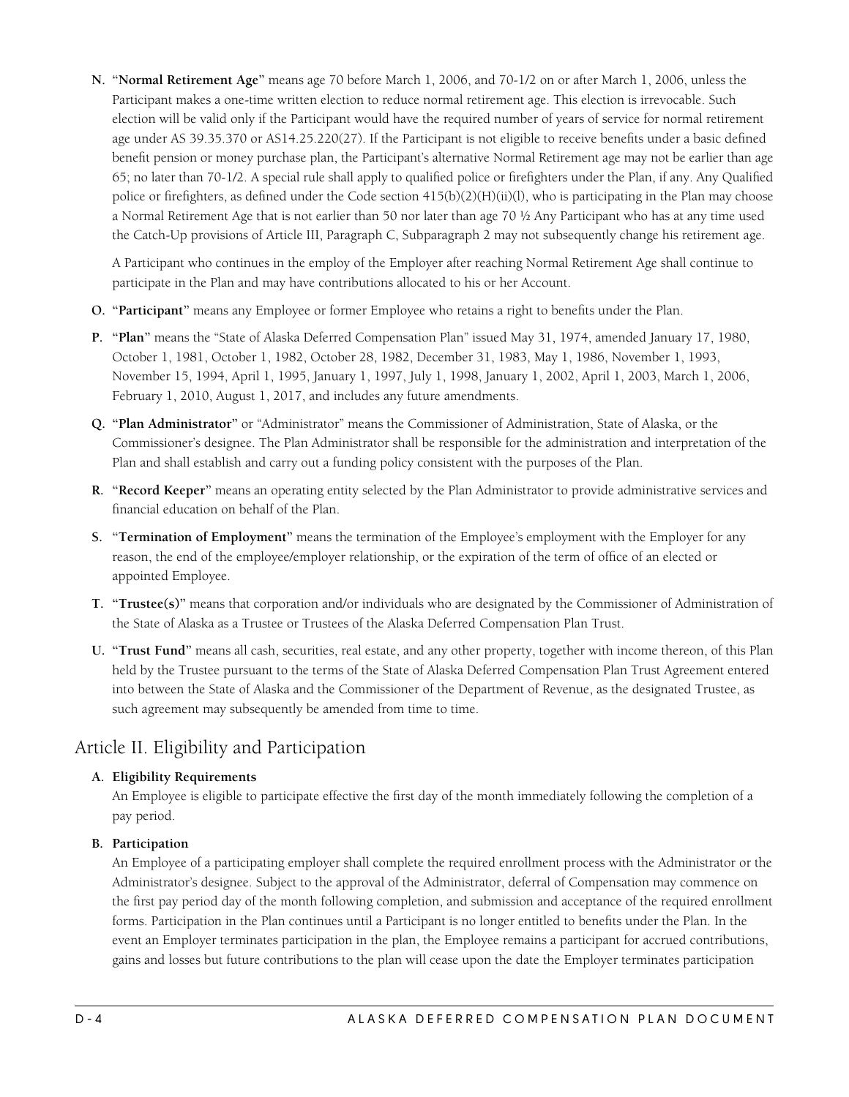<span id="page-3-0"></span>**N. "Normal Retirement Age"** means age 70 before March 1, 2006, and 70-1/2 on or after March 1, 2006, unless the Participant makes a one-time written election to reduce normal retirement age. This election is irrevocable. Such election will be valid only if the Participant would have the required number of years of service for normal retirement age under AS 39.35.370 or AS14.25.220(27). If the Participant is not eligible to receive benefits under a basic defined benefit pension or money purchase plan, the Participant's alternative Normal Retirement age may not be earlier than age 65; no later than 70-1/2. A special rule shall apply to qualified police or firefighters under the Plan, if any. Any Qualified police or firefighters, as defined under the Code section 415(b)(2)(H)(ii)(l), who is participating in the Plan may choose a Normal Retirement Age that is not earlier than 50 nor later than age 70 ½ Any Participant who has at any time used the Catch-Up provisions of Article III, Paragraph C, Subparagraph 2 may not subsequently change his retirement age.

A Participant who continues in the employ of the Employer after reaching Normal Retirement Age shall continue to participate in the Plan and may have contributions allocated to his or her Account.

- **O. "Participant"** means any Employee or former Employee who retains a right to benefits under the Plan.
- **P. "Plan"** means the "State of Alaska Deferred Compensation Plan" issued May 31, 1974, amended January 17, 1980, October 1, 1981, October 1, 1982, October 28, 1982, December 31, 1983, May 1, 1986, November 1, 1993, November 15, 1994, April 1, 1995, January 1, 1997, July 1, 1998, January 1, 2002, April 1, 2003, March 1, 2006, February 1, 2010, August 1, 2017, and includes any future amendments.
- **Q. "Plan Administrator"** or "Administrator" means the Commissioner of Administration, State of Alaska, or the Commissioner's designee. The Plan Administrator shall be responsible for the administration and interpretation of the Plan and shall establish and carry out a funding policy consistent with the purposes of the Plan.
- **R. "Record Keeper"** means an operating entity selected by the Plan Administrator to provide administrative services and financial education on behalf of the Plan.
- **S. "Termination of Employment"** means the termination of the Employee's employment with the Employer for any reason, the end of the employee/employer relationship, or the expiration of the term of office of an elected or appointed Employee.
- **T. "Trustee(s)"** means that corporation and/or individuals who are designated by the Commissioner of Administration of the State of Alaska as a Trustee or Trustees of the Alaska Deferred Compensation Plan Trust.
- **U. "Trust Fund"** means all cash, securities, real estate, and any other property, together with income thereon, of this Plan held by the Trustee pursuant to the terms of the State of Alaska Deferred Compensation Plan Trust Agreement entered into between the State of Alaska and the Commissioner of the Department of Revenue, as the designated Trustee, as such agreement may subsequently be amended from time to time.

## Article II. Eligibility and Participation

#### **A. Eligibility Requirements**

An Employee is eligible to participate effective the first day of the month immediately following the completion of a pay period.

#### **B. Participation**

An Employee of a participating employer shall complete the required enrollment process with the Administrator or the Administrator's designee. Subject to the approval of the Administrator, deferral of Compensation may commence on the first pay period day of the month following completion, and submission and acceptance of the required enrollment forms. Participation in the Plan continues until a Participant is no longer entitled to benefits under the Plan. In the event an Employer terminates participation in the plan, the Employee remains a participant for accrued contributions, gains and losses but future contributions to the plan will cease upon the date the Employer terminates participation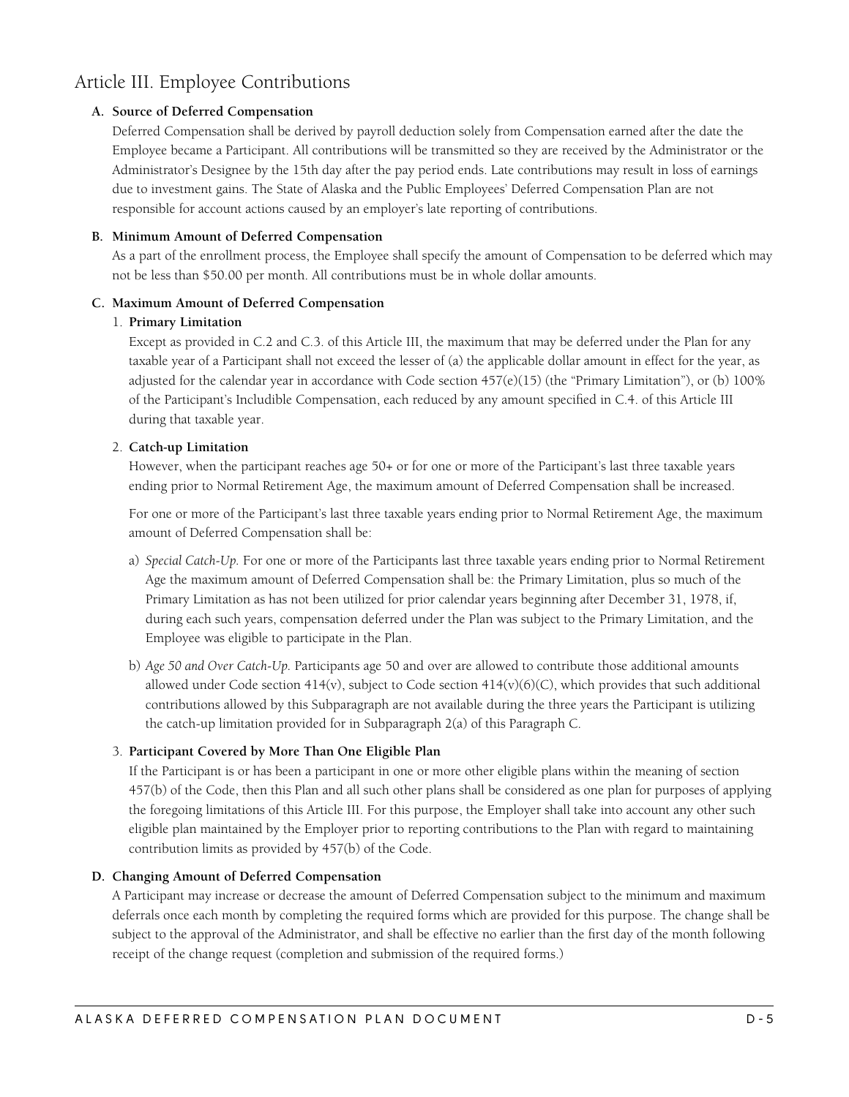## <span id="page-4-0"></span>Article III. Employee Contributions

#### **A. Source of Deferred Compensation**

Deferred Compensation shall be derived by payroll deduction solely from Compensation earned after the date the Employee became a Participant. All contributions will be transmitted so they are received by the Administrator or the Administrator's Designee by the 15th day after the pay period ends. Late contributions may result in loss of earnings due to investment gains. The State of Alaska and the Public Employees' Deferred Compensation Plan are not responsible for account actions caused by an employer's late reporting of contributions.

#### **B. Minimum Amount of Deferred Compensation**

As a part of the enrollment process, the Employee shall specify the amount of Compensation to be deferred which may not be less than \$50.00 per month. All contributions must be in whole dollar amounts.

#### **C. Maximum Amount of Deferred Compensation**

#### 1. **Primary Limitation**

Except as provided in C.2 and C.3. of this Article III, the maximum that may be deferred under the Plan for any taxable year of a Participant shall not exceed the lesser of (a) the applicable dollar amount in effect for the year, as adjusted for the calendar year in accordance with Code section 457(e)(15) (the "Primary Limitation"), or (b) 100% of the Participant's Includible Compensation, each reduced by any amount specified in C.4. of this Article III during that taxable year.

#### 2. **Catch-up Limitation**

However, when the participant reaches age 50+ or for one or more of the Participant's last three taxable years ending prior to Normal Retirement Age, the maximum amount of Deferred Compensation shall be increased.

For one or more of the Participant's last three taxable years ending prior to Normal Retirement Age, the maximum amount of Deferred Compensation shall be:

- a) *Special Catch-Up.* For one or more of the Participants last three taxable years ending prior to Normal Retirement Age the maximum amount of Deferred Compensation shall be: the Primary Limitation, plus so much of the Primary Limitation as has not been utilized for prior calendar years beginning after December 31, 1978, if, during each such years, compensation deferred under the Plan was subject to the Primary Limitation, and the Employee was eligible to participate in the Plan.
- b) *Age 50 and Over Catch-Up.* Participants age 50 and over are allowed to contribute those additional amounts allowed under Code section  $414(v)$ , subject to Code section  $414(v)(6)(C)$ , which provides that such additional contributions allowed by this Subparagraph are not available during the three years the Participant is utilizing the catch-up limitation provided for in Subparagraph 2(a) of this Paragraph C.

#### 3. **Participant Covered by More Than One Eligible Plan**

If the Participant is or has been a participant in one or more other eligible plans within the meaning of section 457(b) of the Code, then this Plan and all such other plans shall be considered as one plan for purposes of applying the foregoing limitations of this Article III. For this purpose, the Employer shall take into account any other such eligible plan maintained by the Employer prior to reporting contributions to the Plan with regard to maintaining contribution limits as provided by 457(b) of the Code.

#### **D. Changing Amount of Deferred Compensation**

A Participant may increase or decrease the amount of Deferred Compensation subject to the minimum and maximum deferrals once each month by completing the required forms which are provided for this purpose. The change shall be subject to the approval of the Administrator, and shall be effective no earlier than the first day of the month following receipt of the change request (completion and submission of the required forms.)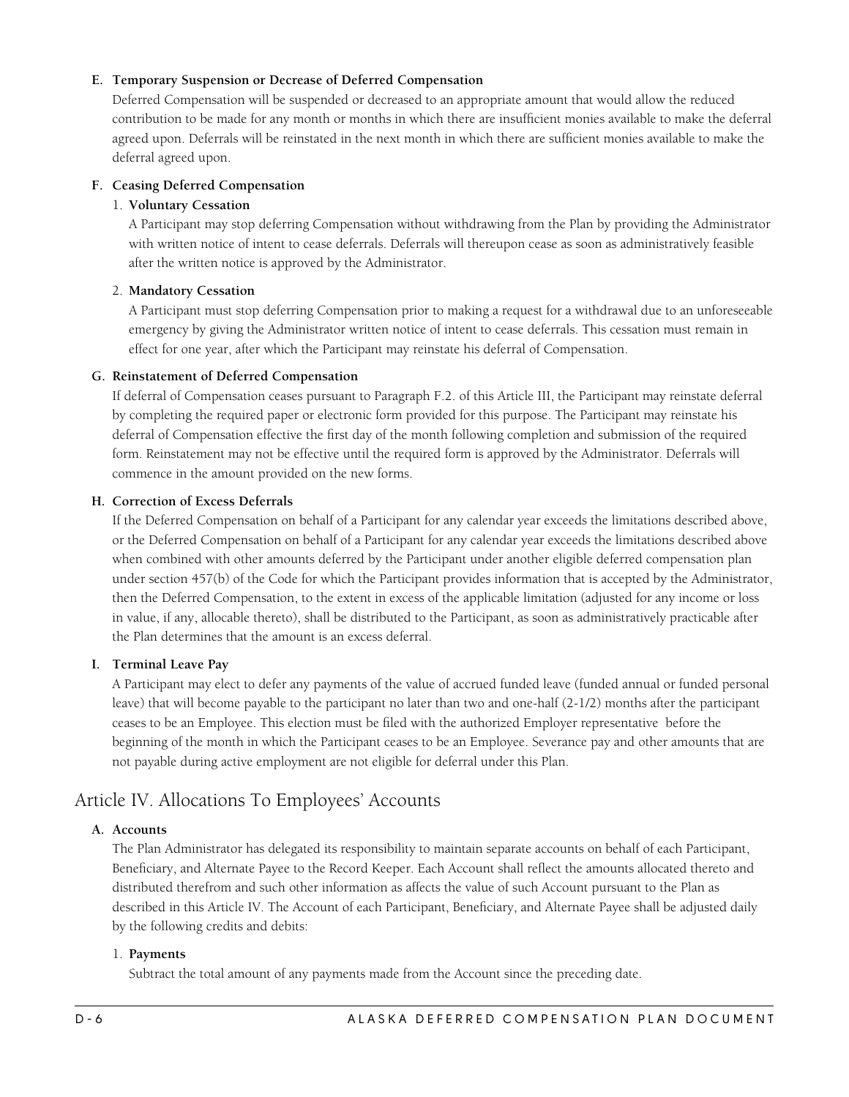#### <span id="page-5-0"></span>**E. Temporary Suspension or Decrease of Deferred Compensation**

Deferred Compensation will be suspended or decreased to an appropriate amount that would allow the reduced contribution to be made for any month or months in which there are insufficient monies available to make the deferral agreed upon. Deferrals will be reinstated in the next month in which there are sufficient monies available to make the deferral agreed upon.

#### **F. Ceasing Deferred Compensation**

#### 1. **Voluntary Cessation**

A Participant may stop deferring Compensation without withdrawing from the Plan by providing the Administrator with written notice of intent to cease deferrals. Deferrals will thereupon cease as soon as administratively feasible after the written notice is approved by the Administrator.

#### 2. **Mandatory Cessation**

A Participant must stop deferring Compensation prior to making a request for a withdrawal due to an unforeseeable emergency by giving the Administrator written notice of intent to cease deferrals. This cessation must remain in effect for one year, after which the Participant may reinstate his deferral of Compensation.

#### **G. Reinstatement of Deferred Compensation**

If deferral of Compensation ceases pursuant to Paragraph F.2. of this Article III, the Participant may reinstate deferral by completing the required paper or electronic form provided for this purpose. The Participant may reinstate his deferral of Compensation effective the first day of the month following completion and submission of the required form. Reinstatement may not be effective until the required form is approved by the Administrator. Deferrals will commence in the amount provided on the new forms.

#### **H. Correction of Excess Deferrals**

If the Deferred Compensation on behalf of a Participant for any calendar year exceeds the limitations described above, or the Deferred Compensation on behalf of a Participant for any calendar year exceeds the limitations described above when combined with other amounts deferred by the Participant under another eligible deferred compensation plan under section 457(b) of the Code for which the Participant provides information that is accepted by the Administrator, then the Deferred Compensation, to the extent in excess of the applicable limitation (adjusted for any income or loss in value, if any, allocable thereto), shall be distributed to the Participant, as soon as administratively practicable after the Plan determines that the amount is an excess deferral.

#### **I. Terminal Leave Pay**

A Participant may elect to defer any payments of the value of accrued funded leave (funded annual or funded personal leave) that will become payable to the participant no later than two and one-half (2-1/2) months after the participant ceases to be an Employee. This election must be filed with the authorized Employer representative before the beginning of the month in which the Participant ceases to be an Employee. Severance pay and other amounts that are not payable during active employment are not eligible for deferral under this Plan.

## Article IV. Allocations To Employees' Accounts

#### **A. Accounts**

The Plan Administrator has delegated its responsibility to maintain separate accounts on behalf of each Participant, Beneficiary, and Alternate Payee to the Record Keeper. Each Account shall reflect the amounts allocated thereto and distributed therefrom and such other information as affects the value of such Account pursuant to the Plan as described in this Article IV. The Account of each Participant, Beneficiary, and Alternate Payee shall be adjusted daily by the following credits and debits:

#### 1. **Payments**

Subtract the total amount of any payments made from the Account since the preceding date.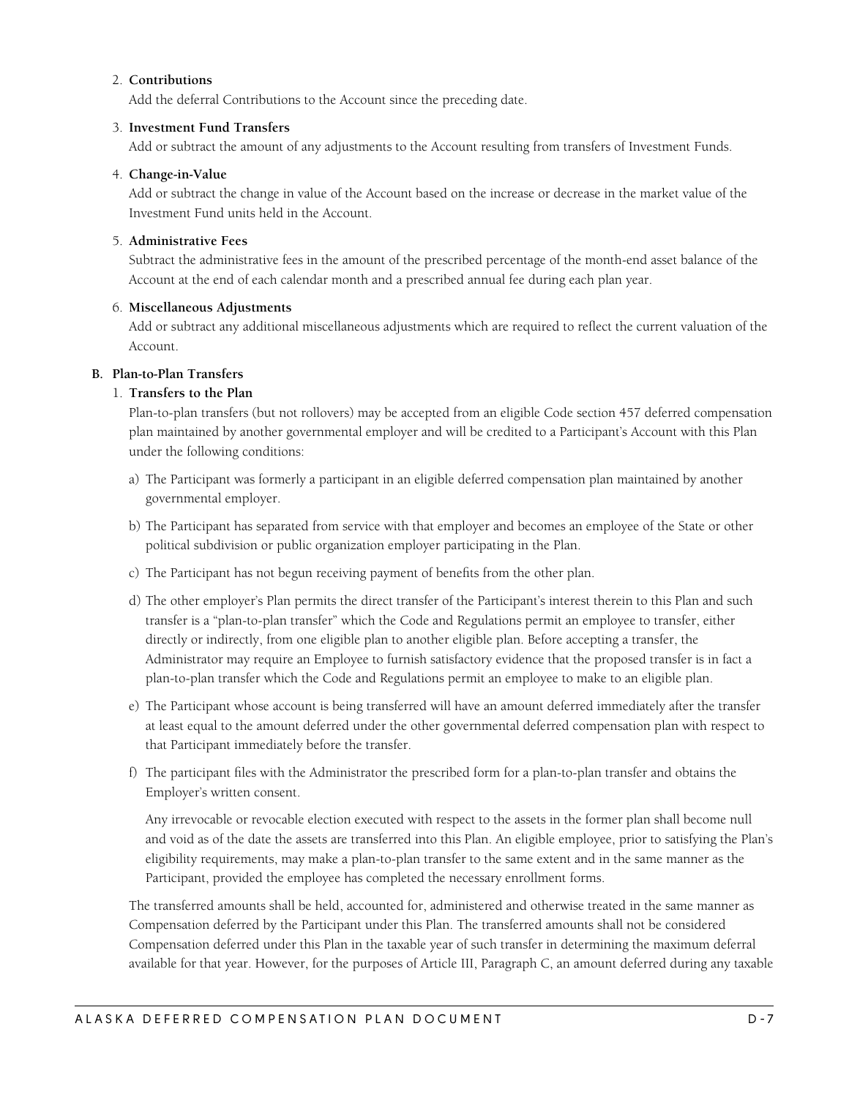#### <span id="page-6-0"></span>2. **Contributions**

Add the deferral Contributions to the Account since the preceding date.

#### 3. **Investment Fund Transfers**

Add or subtract the amount of any adjustments to the Account resulting from transfers of Investment Funds.

#### 4. **Change-in-Value**

Add or subtract the change in value of the Account based on the increase or decrease in the market value of the Investment Fund units held in the Account.

#### 5. **Administrative Fees**

Subtract the administrative fees in the amount of the prescribed percentage of the month-end asset balance of the Account at the end of each calendar month and a prescribed annual fee during each plan year.

#### 6. **Miscellaneous Adjustments**

Add or subtract any additional miscellaneous adjustments which are required to reflect the current valuation of the Account.

#### **B. Plan-to-Plan Transfers**

#### 1. **Transfers to the Plan**

Plan-to-plan transfers (but not rollovers) may be accepted from an eligible Code section 457 deferred compensation plan maintained by another governmental employer and will be credited to a Participant's Account with this Plan under the following conditions:

- a) The Participant was formerly a participant in an eligible deferred compensation plan maintained by another governmental employer.
- b) The Participant has separated from service with that employer and becomes an employee of the State or other political subdivision or public organization employer participating in the Plan.
- c) The Participant has not begun receiving payment of benefits from the other plan.
- d) The other employer's Plan permits the direct transfer of the Participant's interest therein to this Plan and such transfer is a "plan-to-plan transfer" which the Code and Regulations permit an employee to transfer, either directly or indirectly, from one eligible plan to another eligible plan. Before accepting a transfer, the Administrator may require an Employee to furnish satisfactory evidence that the proposed transfer is in fact a plan-to-plan transfer which the Code and Regulations permit an employee to make to an eligible plan.
- e) The Participant whose account is being transferred will have an amount deferred immediately after the transfer at least equal to the amount deferred under the other governmental deferred compensation plan with respect to that Participant immediately before the transfer.
- f) The participant files with the Administrator the prescribed form for a plan-to-plan transfer and obtains the Employer's written consent.

Any irrevocable or revocable election executed with respect to the assets in the former plan shall become null and void as of the date the assets are transferred into this Plan. An eligible employee, prior to satisfying the Plan's eligibility requirements, may make a plan-to-plan transfer to the same extent and in the same manner as the Participant, provided the employee has completed the necessary enrollment forms.

The transferred amounts shall be held, accounted for, administered and otherwise treated in the same manner as Compensation deferred by the Participant under this Plan. The transferred amounts shall not be considered Compensation deferred under this Plan in the taxable year of such transfer in determining the maximum deferral available for that year. However, for the purposes of Article III, Paragraph C, an amount deferred during any taxable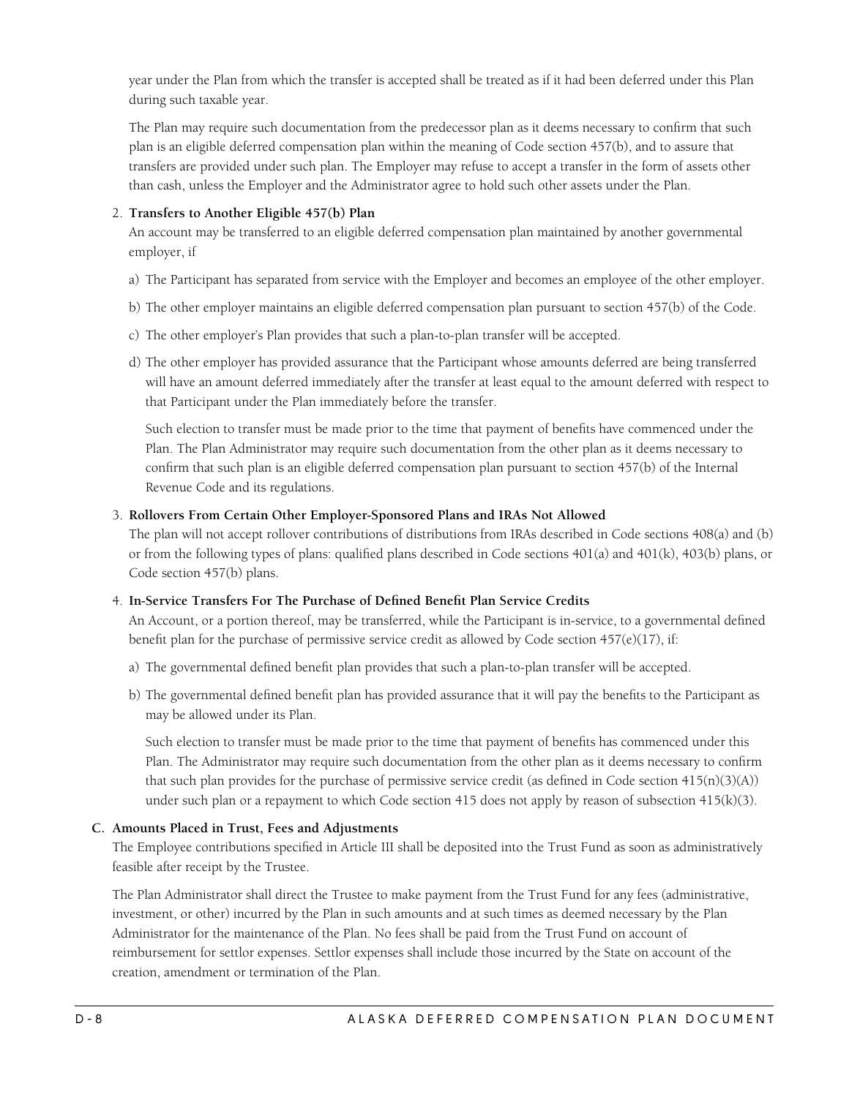<span id="page-7-0"></span>year under the Plan from which the transfer is accepted shall be treated as if it had been deferred under this Plan during such taxable year.

The Plan may require such documentation from the predecessor plan as it deems necessary to confirm that such plan is an eligible deferred compensation plan within the meaning of Code section 457(b), and to assure that transfers are provided under such plan. The Employer may refuse to accept a transfer in the form of assets other than cash, unless the Employer and the Administrator agree to hold such other assets under the Plan.

#### 2. **Transfers to Another Eligible 457(b) Plan**

An account may be transferred to an eligible deferred compensation plan maintained by another governmental employer, if

- a) The Participant has separated from service with the Employer and becomes an employee of the other employer.
- b) The other employer maintains an eligible deferred compensation plan pursuant to section 457(b) of the Code.
- c) The other employer's Plan provides that such a plan-to-plan transfer will be accepted.
- d) The other employer has provided assurance that the Participant whose amounts deferred are being transferred will have an amount deferred immediately after the transfer at least equal to the amount deferred with respect to that Participant under the Plan immediately before the transfer.

Such election to transfer must be made prior to the time that payment of benefits have commenced under the Plan. The Plan Administrator may require such documentation from the other plan as it deems necessary to confirm that such plan is an eligible deferred compensation plan pursuant to section 457(b) of the Internal Revenue Code and its regulations.

#### 3. **Rollovers From Certain Other Employer-Sponsored Plans and IRAs Not Allowed**

The plan will not accept rollover contributions of distributions from IRAs described in Code sections 408(a) and (b) or from the following types of plans: qualified plans described in Code sections 401(a) and 401(k), 403(b) plans, or Code section 457(b) plans.

#### 4. **In-Service Transfers For The Purchase of Defined Benefit Plan Service Credits**

An Account, or a portion thereof, may be transferred, while the Participant is in-service, to a governmental defined benefit plan for the purchase of permissive service credit as allowed by Code section 457(e)(17), if:

- a) The governmental defined benefit plan provides that such a plan-to-plan transfer will be accepted.
- b) The governmental defined benefit plan has provided assurance that it will pay the benefits to the Participant as may be allowed under its Plan.

Such election to transfer must be made prior to the time that payment of benefits has commenced under this Plan. The Administrator may require such documentation from the other plan as it deems necessary to confirm that such plan provides for the purchase of permissive service credit (as defined in Code section  $415(n)(3)(A)$ ) under such plan or a repayment to which Code section 415 does not apply by reason of subsection 415(k)(3).

#### **C. Amounts Placed in Trust, Fees and Adjustments**

The Employee contributions specified in Article III shall be deposited into the Trust Fund as soon as administratively feasible after receipt by the Trustee.

The Plan Administrator shall direct the Trustee to make payment from the Trust Fund for any fees (administrative, investment, or other) incurred by the Plan in such amounts and at such times as deemed necessary by the Plan Administrator for the maintenance of the Plan. No fees shall be paid from the Trust Fund on account of reimbursement for settlor expenses. Settlor expenses shall include those incurred by the State on account of the creation, amendment or termination of the Plan.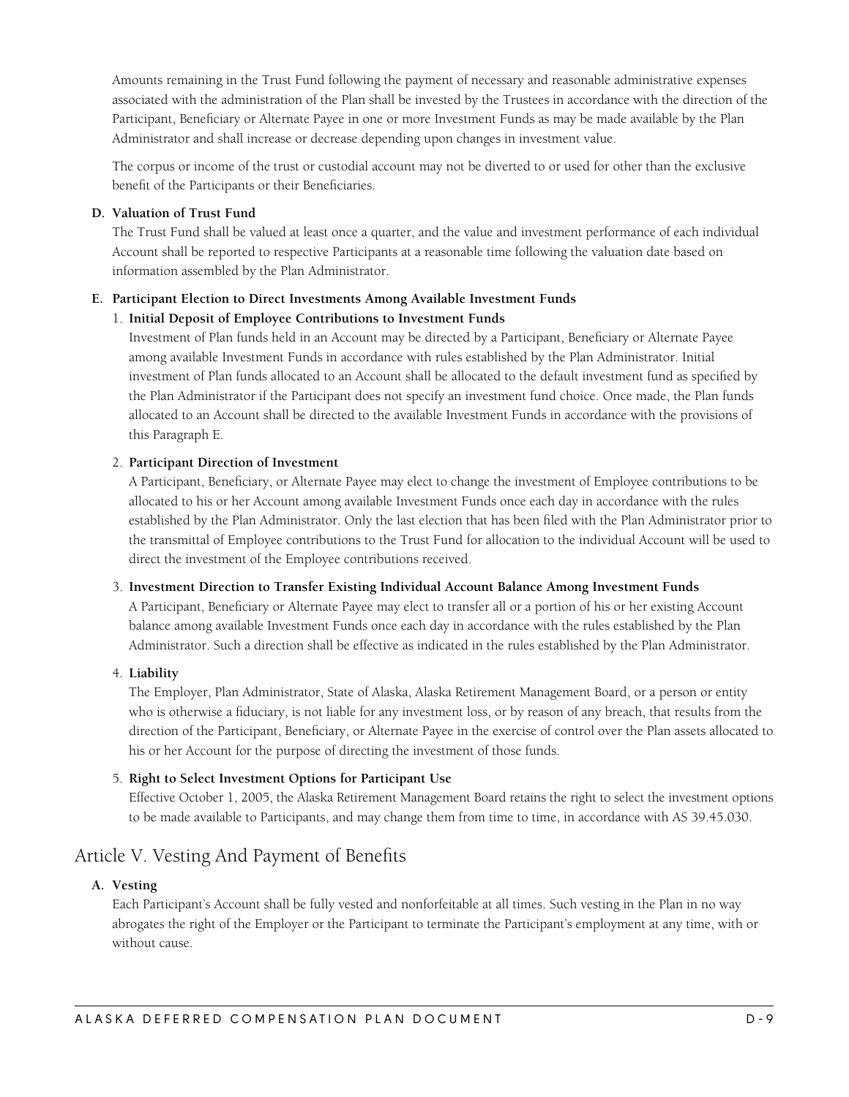<span id="page-8-0"></span>Amounts remaining in the Trust Fund following the payment of necessary and reasonable administrative expenses associated with the administration of the Plan shall be invested by the Trustees in accordance with the direction of the Participant, Beneficiary or Alternate Payee in one or more Investment Funds as may be made available by the Plan Administrator and shall increase or decrease depending upon changes in investment value.

The corpus or income of the trust or custodial account may not be diverted to or used for other than the exclusive benefit of the Participants or their Beneficiaries.

#### **D. Valuation of Trust Fund**

The Trust Fund shall be valued at least once a quarter, and the value and investment performance of each individual Account shall be reported to respective Participants at a reasonable time following the valuation date based on information assembled by the Plan Administrator.

#### **E. Participant Election to Direct Investments Among Available Investment Funds**

#### 1. **Initial Deposit of Employee Contributions to Investment Funds**

Investment of Plan funds held in an Account may be directed by a Participant, Beneficiary or Alternate Payee among available Investment Funds in accordance with rules established by the Plan Administrator. Initial investment of Plan funds allocated to an Account shall be allocated to the default investment fund as specified by the Plan Administrator if the Participant does not specify an investment fund choice. Once made, the Plan funds allocated to an Account shall be directed to the available Investment Funds in accordance with the provisions of this Paragraph E.

#### 2. **Participant Direction of Investment**

A Participant, Beneficiary, or Alternate Payee may elect to change the investment of Employee contributions to be allocated to his or her Account among available Investment Funds once each day in accordance with the rules established by the Plan Administrator. Only the last election that has been filed with the Plan Administrator prior to the transmittal of Employee contributions to the Trust Fund for allocation to the individual Account will be used to direct the investment of the Employee contributions received.

#### 3. **Investment Direction to Transfer Existing Individual Account Balance Among Investment Funds**

A Participant, Beneficiary or Alternate Payee may elect to transfer all or a portion of his or her existing Account balance among available Investment Funds once each day in accordance with the rules established by the Plan Administrator. Such a direction shall be effective as indicated in the rules established by the Plan Administrator.

#### 4. **Liability**

The Employer, Plan Administrator, State of Alaska, Alaska Retirement Management Board, or a person or entity who is otherwise a fiduciary, is not liable for any investment loss, or by reason of any breach, that results from the direction of the Participant, Beneficiary, or Alternate Payee in the exercise of control over the Plan assets allocated to his or her Account for the purpose of directing the investment of those funds.

#### 5. **Right to Select Investment Options for Participant Use**

Effective October 1, 2005, the Alaska Retirement Management Board retains the right to select the investment options to be made available to Participants, and may change them from time to time, in accordance with AS 39.45.030.

## Article V. Vesting And Payment of Benefits

#### **A. Vesting**

Each Participant's Account shall be fully vested and nonforfeitable at all times. Such vesting in the Plan in no way abrogates the right of the Employer or the Participant to terminate the Participant's employment at any time, with or without cause.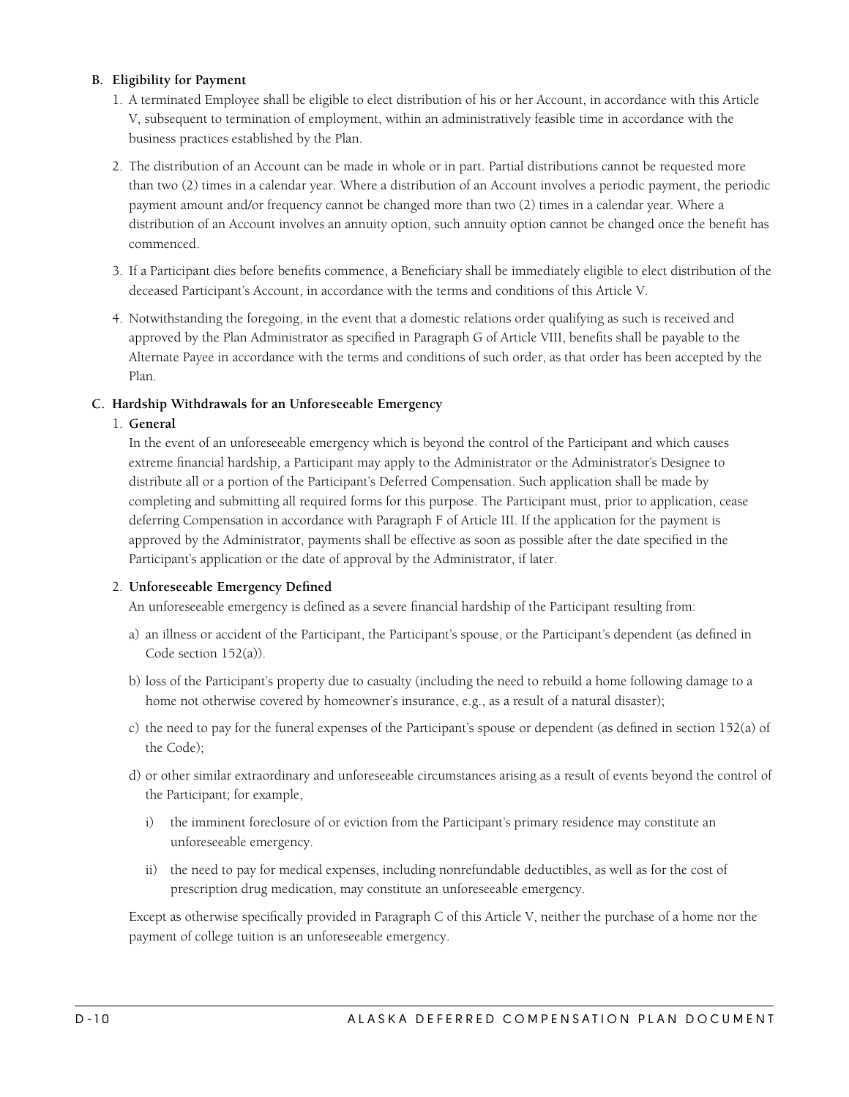#### <span id="page-9-0"></span>**B. Eligibility for Payment**

- 1. A terminated Employee shall be eligible to elect distribution of his or her Account, in accordance with this Article V, subsequent to termination of employment, within an administratively feasible time in accordance with the business practices established by the Plan.
- 2. The distribution of an Account can be made in whole or in part. Partial distributions cannot be requested more than two (2) times in a calendar year. Where a distribution of an Account involves a periodic payment, the periodic payment amount and/or frequency cannot be changed more than two (2) times in a calendar year. Where a distribution of an Account involves an annuity option, such annuity option cannot be changed once the benefit has commenced.
- 3. If a Participant dies before benefits commence, a Beneficiary shall be immediately eligible to elect distribution of the deceased Participant's Account, in accordance with the terms and conditions of this Article V.
- 4. Notwithstanding the foregoing, in the event that a domestic relations order qualifying as such is received and approved by the Plan Administrator as specified in Paragraph G of Article VIII, benefits shall be payable to the Alternate Payee in accordance with the terms and conditions of such order, as that order has been accepted by the Plan.

#### **C. Hardship Withdrawals for an Unforeseeable Emergency**

#### 1. **General**

In the event of an unforeseeable emergency which is beyond the control of the Participant and which causes extreme financial hardship, a Participant may apply to the Administrator or the Administrator's Designee to distribute all or a portion of the Participant's Deferred Compensation. Such application shall be made by completing and submitting all required forms for this purpose. The Participant must, prior to application, cease deferring Compensation in accordance with Paragraph F of Article III. If the application for the payment is approved by the Administrator, payments shall be effective as soon as possible after the date specified in the Participant's application or the date of approval by the Administrator, if later.

#### 2. **Unforeseeable Emergency Defined**

An unforeseeable emergency is defined as a severe financial hardship of the Participant resulting from:

- a) an illness or accident of the Participant, the Participant's spouse, or the Participant's dependent (as defined in Code section 152(a)).
- b) loss of the Participant's property due to casualty (including the need to rebuild a home following damage to a home not otherwise covered by homeowner's insurance, e.g., as a result of a natural disaster);
- c) the need to pay for the funeral expenses of the Participant's spouse or dependent (as defined in section 152(a) of the Code);
- d) or other similar extraordinary and unforeseeable circumstances arising as a result of events beyond the control of the Participant; for example,
	- i) the imminent foreclosure of or eviction from the Participant's primary residence may constitute an unforeseeable emergency.
	- ii) the need to pay for medical expenses, including nonrefundable deductibles, as well as for the cost of prescription drug medication, may constitute an unforeseeable emergency.

Except as otherwise specifically provided in Paragraph C of this Article V, neither the purchase of a home nor the payment of college tuition is an unforeseeable emergency.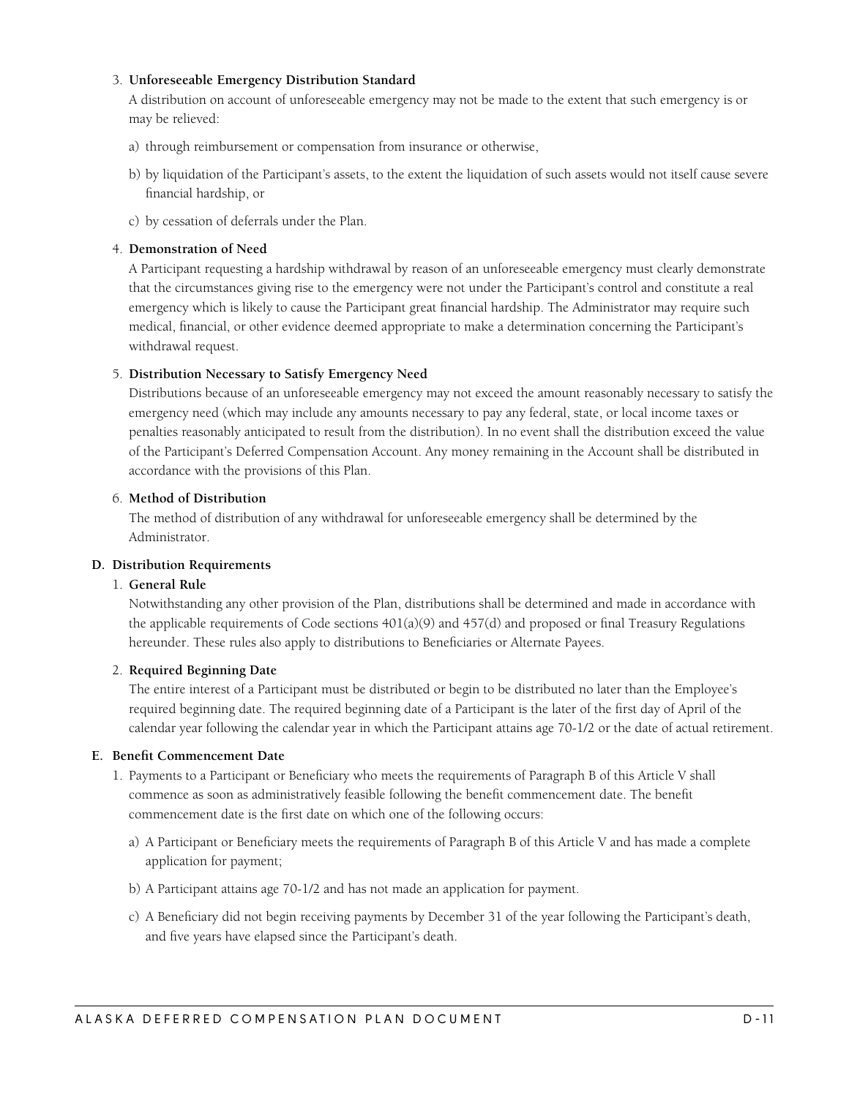#### <span id="page-10-0"></span>3. **Unforeseeable Emergency Distribution Standard**

A distribution on account of unforeseeable emergency may not be made to the extent that such emergency is or may be relieved:

- a) through reimbursement or compensation from insurance or otherwise,
- b) by liquidation of the Participant's assets, to the extent the liquidation of such assets would not itself cause severe financial hardship, or
- c) by cessation of deferrals under the Plan.

#### 4. **Demonstration of Need**

A Participant requesting a hardship withdrawal by reason of an unforeseeable emergency must clearly demonstrate that the circumstances giving rise to the emergency were not under the Participant's control and constitute a real emergency which is likely to cause the Participant great financial hardship. The Administrator may require such medical, financial, or other evidence deemed appropriate to make a determination concerning the Participant's withdrawal request.

#### 5. **Distribution Necessary to Satisfy Emergency Need**

Distributions because of an unforeseeable emergency may not exceed the amount reasonably necessary to satisfy the emergency need (which may include any amounts necessary to pay any federal, state, or local income taxes or penalties reasonably anticipated to result from the distribution). In no event shall the distribution exceed the value of the Participant's Deferred Compensation Account. Any money remaining in the Account shall be distributed in accordance with the provisions of this Plan.

#### 6. **Method of Distribution**

The method of distribution of any withdrawal for unforeseeable emergency shall be determined by the Administrator.

#### **D. Distribution Requirements**

#### 1. **General Rule**

Notwithstanding any other provision of the Plan, distributions shall be determined and made in accordance with the applicable requirements of Code sections  $401(a)(9)$  and  $457(d)$  and proposed or final Treasury Regulations hereunder. These rules also apply to distributions to Beneficiaries or Alternate Payees.

#### 2. **Required Beginning Date**

The entire interest of a Participant must be distributed or begin to be distributed no later than the Employee's required beginning date. The required beginning date of a Participant is the later of the first day of April of the calendar year following the calendar year in which the Participant attains age 70-1/2 or the date of actual retirement.

#### **E. Benefit Commencement Date**

- 1. Payments to a Participant or Beneficiary who meets the requirements of Paragraph B of this Article V shall commence as soon as administratively feasible following the benefit commencement date. The benefit commencement date is the first date on which one of the following occurs:
	- a) A Participant or Beneficiary meets the requirements of Paragraph B of this Article V and has made a complete application for payment;
	- b) A Participant attains age 70-1/2 and has not made an application for payment.
	- c) A Beneficiary did not begin receiving payments by December 31 of the year following the Participant's death, and five years have elapsed since the Participant's death.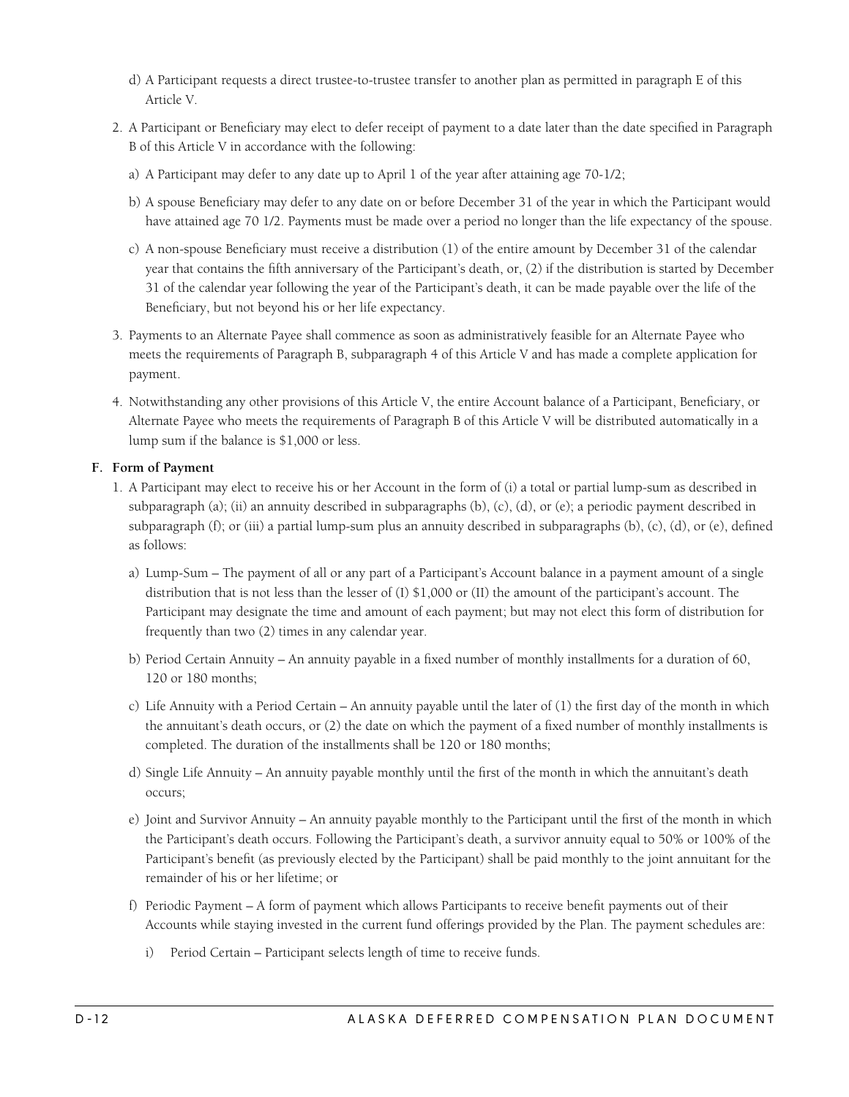- <span id="page-11-0"></span>d) A Participant requests a direct trustee-to-trustee transfer to another plan as permitted in paragraph E of this Article V.
- 2. A Participant or Beneficiary may elect to defer receipt of payment to a date later than the date specified in Paragraph B of this Article V in accordance with the following:
	- a) A Participant may defer to any date up to April 1 of the year after attaining age 70-1/2;
	- b) A spouse Beneficiary may defer to any date on or before December 31 of the year in which the Participant would have attained age 70 1/2. Payments must be made over a period no longer than the life expectancy of the spouse.
	- c) A non-spouse Beneficiary must receive a distribution (1) of the entire amount by December 31 of the calendar year that contains the fifth anniversary of the Participant's death, or, (2) if the distribution is started by December 31 of the calendar year following the year of the Participant's death, it can be made payable over the life of the Beneficiary, but not beyond his or her life expectancy.
- 3. Payments to an Alternate Payee shall commence as soon as administratively feasible for an Alternate Payee who meets the requirements of Paragraph B, subparagraph 4 of this Article V and has made a complete application for payment.
- 4. Notwithstanding any other provisions of this Article V, the entire Account balance of a Participant, Beneficiary, or Alternate Payee who meets the requirements of Paragraph B of this Article V will be distributed automatically in a lump sum if the balance is \$1,000 or less.

#### **F. Form of Payment**

- 1. A Participant may elect to receive his or her Account in the form of (i) a total or partial lump-sum as described in subparagraph (a); (ii) an annuity described in subparagraphs (b), (c), (d), or (e); a periodic payment described in subparagraph (f); or (iii) a partial lump-sum plus an annuity described in subparagraphs (b), (c), (d), or (e), defined as follows:
	- a) Lump-Sum The payment of all or any part of a Participant's Account balance in a payment amount of a single distribution that is not less than the lesser of (I) \$1,000 or (II) the amount of the participant's account. The Participant may designate the time and amount of each payment; but may not elect this form of distribution for frequently than two (2) times in any calendar year.
	- b) Period Certain Annuity An annuity payable in a fixed number of monthly installments for a duration of 60, 120 or 180 months;
	- c) Life Annuity with a Period Certain An annuity payable until the later of (1) the first day of the month in which the annuitant's death occurs, or (2) the date on which the payment of a fixed number of monthly installments is completed. The duration of the installments shall be 120 or 180 months;
	- d) Single Life Annuity An annuity payable monthly until the first of the month in which the annuitant's death occurs;
	- e) Joint and Survivor Annuity An annuity payable monthly to the Participant until the first of the month in which the Participant's death occurs. Following the Participant's death, a survivor annuity equal to 50% or 100% of the Participant's benefit (as previously elected by the Participant) shall be paid monthly to the joint annuitant for the remainder of his or her lifetime; or
	- f) Periodic Payment A form of payment which allows Participants to receive benefit payments out of their Accounts while staying invested in the current fund offerings provided by the Plan. The payment schedules are:
		- i) Period Certain Participant selects length of time to receive funds.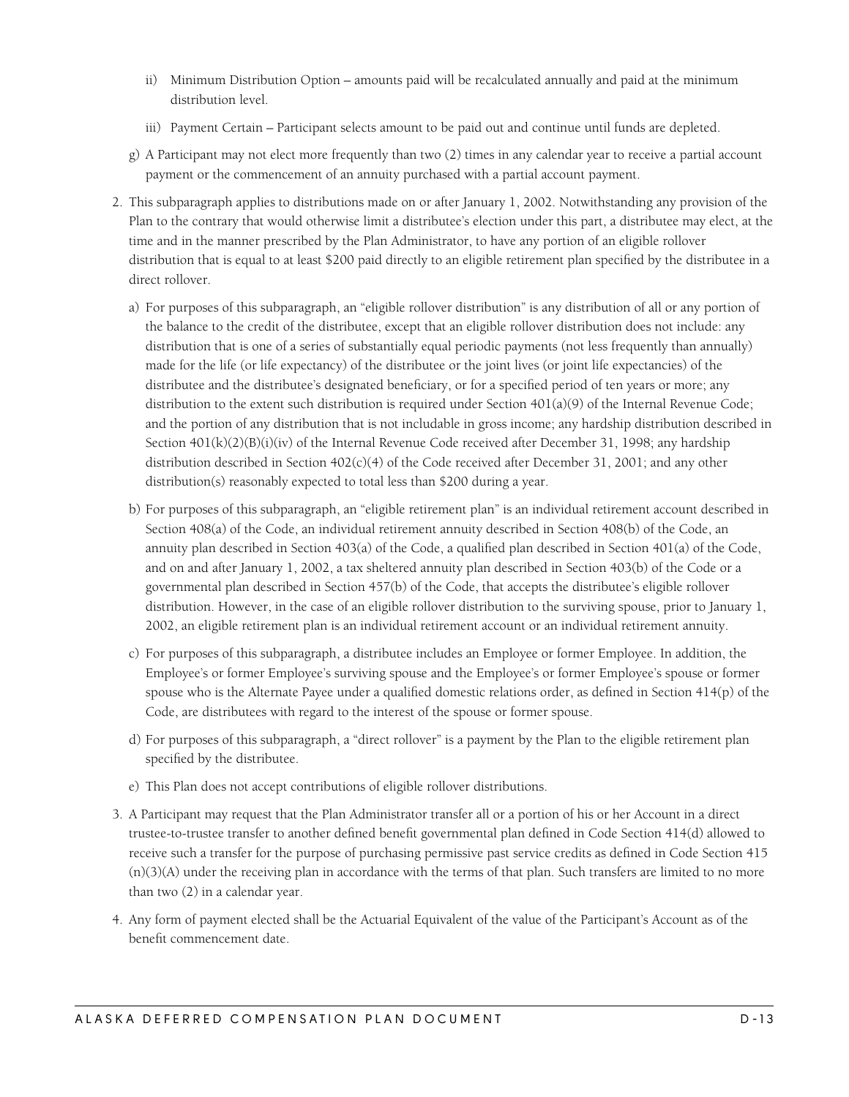- ii) Minimum Distribution Option amounts paid will be recalculated annually and paid at the minimum distribution level.
- iii) Payment Certain Participant selects amount to be paid out and continue until funds are depleted.
- g) A Participant may not elect more frequently than two (2) times in any calendar year to receive a partial account payment or the commencement of an annuity purchased with a partial account payment.
- 2. This subparagraph applies to distributions made on or after January 1, 2002. Notwithstanding any provision of the Plan to the contrary that would otherwise limit a distributee's election under this part, a distributee may elect, at the time and in the manner prescribed by the Plan Administrator, to have any portion of an eligible rollover distribution that is equal to at least \$200 paid directly to an eligible retirement plan specified by the distributee in a direct rollover.
	- a) For purposes of this subparagraph, an "eligible rollover distribution" is any distribution of all or any portion of the balance to the credit of the distributee, except that an eligible rollover distribution does not include: any distribution that is one of a series of substantially equal periodic payments (not less frequently than annually) made for the life (or life expectancy) of the distributee or the joint lives (or joint life expectancies) of the distributee and the distributee's designated beneficiary, or for a specified period of ten years or more; any distribution to the extent such distribution is required under Section 401(a)(9) of the Internal Revenue Code; and the portion of any distribution that is not includable in gross income; any hardship distribution described in Section  $401(k)(2)(B)(i)(iv)$  of the Internal Revenue Code received after December 31, 1998; any hardship distribution described in Section  $402(c)(4)$  of the Code received after December 31, 2001; and any other distribution(s) reasonably expected to total less than \$200 during a year.
	- b) For purposes of this subparagraph, an "eligible retirement plan" is an individual retirement account described in Section 408(a) of the Code, an individual retirement annuity described in Section 408(b) of the Code, an annuity plan described in Section 403(a) of the Code, a qualified plan described in Section 401(a) of the Code, and on and after January 1, 2002, a tax sheltered annuity plan described in Section 403(b) of the Code or a governmental plan described in Section 457(b) of the Code, that accepts the distributee's eligible rollover distribution. However, in the case of an eligible rollover distribution to the surviving spouse, prior to January 1, 2002, an eligible retirement plan is an individual retirement account or an individual retirement annuity.
	- c) For purposes of this subparagraph, a distributee includes an Employee or former Employee. In addition, the Employee's or former Employee's surviving spouse and the Employee's or former Employee's spouse or former spouse who is the Alternate Payee under a qualified domestic relations order, as defined in Section 414(p) of the Code, are distributees with regard to the interest of the spouse or former spouse.
	- d) For purposes of this subparagraph, a "direct rollover" is a payment by the Plan to the eligible retirement plan specified by the distributee.
	- e) This Plan does not accept contributions of eligible rollover distributions.
- 3. A Participant may request that the Plan Administrator transfer all or a portion of his or her Account in a direct trustee-to-trustee transfer to another defined benefit governmental plan defined in Code Section 414(d) allowed to receive such a transfer for the purpose of purchasing permissive past service credits as defined in Code Section 415 (n)(3)(A) under the receiving plan in accordance with the terms of that plan. Such transfers are limited to no more than two (2) in a calendar year.
- 4. Any form of payment elected shall be the Actuarial Equivalent of the value of the Participant's Account as of the benefit commencement date.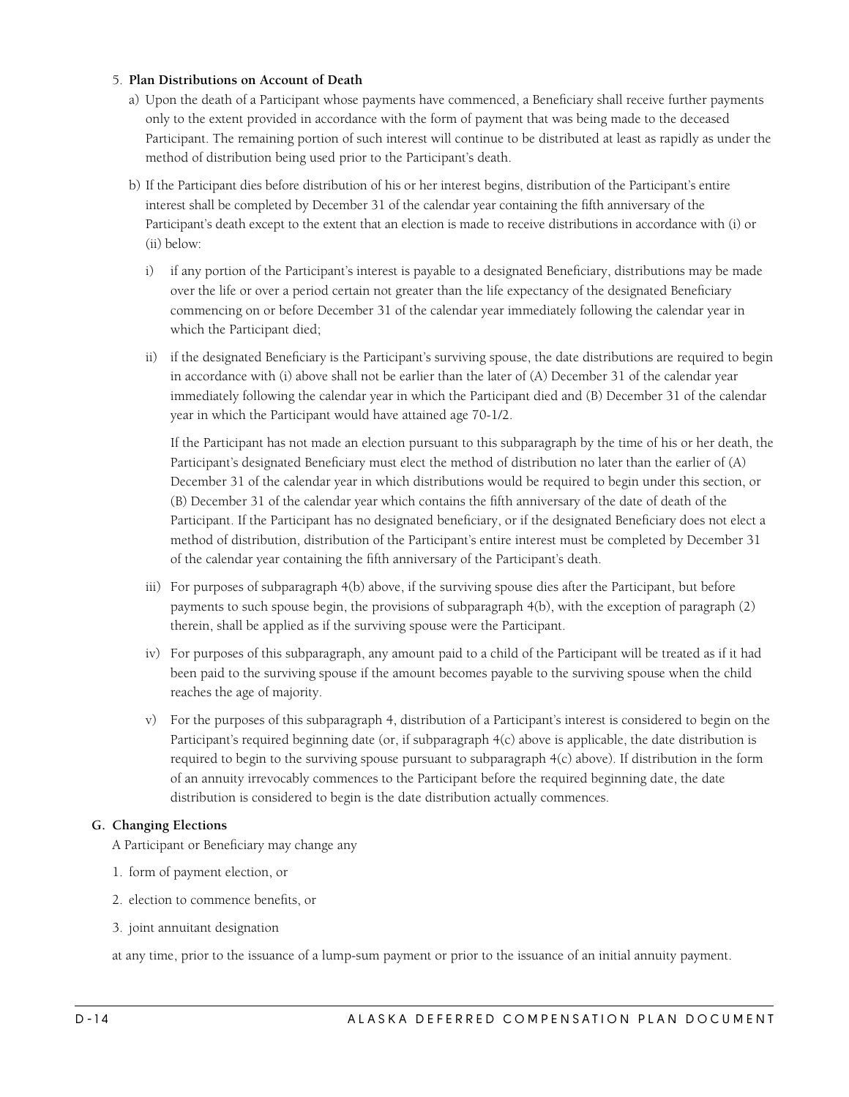#### <span id="page-13-0"></span>5. **Plan Distributions on Account of Death**

- a) Upon the death of a Participant whose payments have commenced, a Beneficiary shall receive further payments only to the extent provided in accordance with the form of payment that was being made to the deceased Participant. The remaining portion of such interest will continue to be distributed at least as rapidly as under the method of distribution being used prior to the Participant's death.
- b) If the Participant dies before distribution of his or her interest begins, distribution of the Participant's entire interest shall be completed by December 31 of the calendar year containing the fifth anniversary of the Participant's death except to the extent that an election is made to receive distributions in accordance with (i) or (ii) below:
	- i) if any portion of the Participant's interest is payable to a designated Beneficiary, distributions may be made over the life or over a period certain not greater than the life expectancy of the designated Beneficiary commencing on or before December 31 of the calendar year immediately following the calendar year in which the Participant died;
	- ii) if the designated Beneficiary is the Participant's surviving spouse, the date distributions are required to begin in accordance with (i) above shall not be earlier than the later of (A) December 31 of the calendar year immediately following the calendar year in which the Participant died and (B) December 31 of the calendar year in which the Participant would have attained age 70-1/2.

If the Participant has not made an election pursuant to this subparagraph by the time of his or her death, the Participant's designated Beneficiary must elect the method of distribution no later than the earlier of (A) December 31 of the calendar year in which distributions would be required to begin under this section, or (B) December 31 of the calendar year which contains the fifth anniversary of the date of death of the Participant. If the Participant has no designated beneficiary, or if the designated Beneficiary does not elect a method of distribution, distribution of the Participant's entire interest must be completed by December 31 of the calendar year containing the fifth anniversary of the Participant's death.

- iii) For purposes of subparagraph 4(b) above, if the surviving spouse dies after the Participant, but before payments to such spouse begin, the provisions of subparagraph 4(b), with the exception of paragraph (2) therein, shall be applied as if the surviving spouse were the Participant.
- iv) For purposes of this subparagraph, any amount paid to a child of the Participant will be treated as if it had been paid to the surviving spouse if the amount becomes payable to the surviving spouse when the child reaches the age of majority.
- v) For the purposes of this subparagraph 4, distribution of a Participant's interest is considered to begin on the Participant's required beginning date (or, if subparagraph 4(c) above is applicable, the date distribution is required to begin to the surviving spouse pursuant to subparagraph 4(c) above). If distribution in the form of an annuity irrevocably commences to the Participant before the required beginning date, the date distribution is considered to begin is the date distribution actually commences.

#### **G. Changing Elections**

A Participant or Beneficiary may change any

- 1. form of payment election, or
- 2. election to commence benefits, or
- 3. joint annuitant designation

at any time, prior to the issuance of a lump-sum payment or prior to the issuance of an initial annuity payment.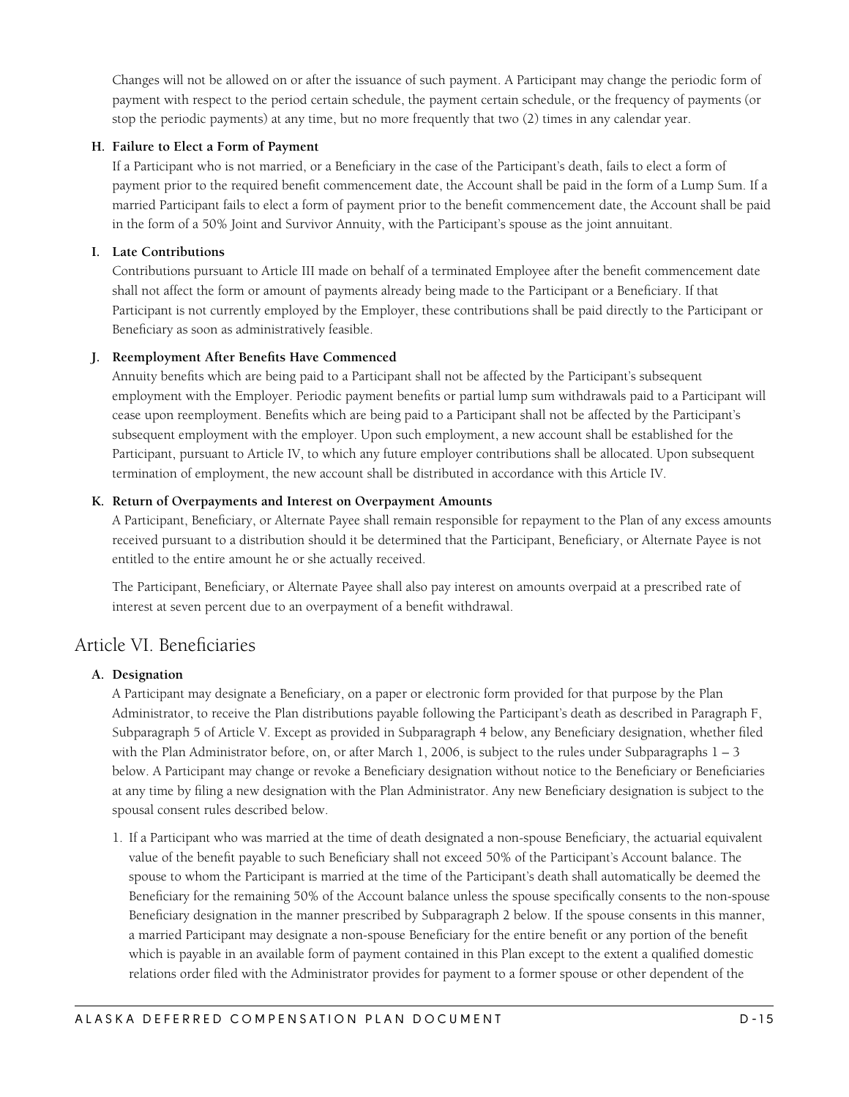<span id="page-14-0"></span>Changes will not be allowed on or after the issuance of such payment. A Participant may change the periodic form of payment with respect to the period certain schedule, the payment certain schedule, or the frequency of payments (or stop the periodic payments) at any time, but no more frequently that two (2) times in any calendar year.

#### **H. Failure to Elect a Form of Payment**

If a Participant who is not married, or a Beneficiary in the case of the Participant's death, fails to elect a form of payment prior to the required benefit commencement date, the Account shall be paid in the form of a Lump Sum. If a married Participant fails to elect a form of payment prior to the benefit commencement date, the Account shall be paid in the form of a 50% Joint and Survivor Annuity, with the Participant's spouse as the joint annuitant.

#### **I. Late Contributions**

Contributions pursuant to Article III made on behalf of a terminated Employee after the benefit commencement date shall not affect the form or amount of payments already being made to the Participant or a Beneficiary. If that Participant is not currently employed by the Employer, these contributions shall be paid directly to the Participant or Beneficiary as soon as administratively feasible.

#### **J. Reemployment After Benefits Have Commenced**

Annuity benefits which are being paid to a Participant shall not be affected by the Participant's subsequent employment with the Employer. Periodic payment benefits or partial lump sum withdrawals paid to a Participant will cease upon reemployment. Benefits which are being paid to a Participant shall not be affected by the Participant's subsequent employment with the employer. Upon such employment, a new account shall be established for the Participant, pursuant to Article IV, to which any future employer contributions shall be allocated. Upon subsequent termination of employment, the new account shall be distributed in accordance with this Article IV.

#### **K. Return of Overpayments and Interest on Overpayment Amounts**

A Participant, Beneficiary, or Alternate Payee shall remain responsible for repayment to the Plan of any excess amounts received pursuant to a distribution should it be determined that the Participant, Beneficiary, or Alternate Payee is not entitled to the entire amount he or she actually received.

The Participant, Beneficiary, or Alternate Payee shall also pay interest on amounts overpaid at a prescribed rate of interest at seven percent due to an overpayment of a benefit withdrawal.

### Article VI. Beneficiaries

#### **A. Designation**

A Participant may designate a Beneficiary, on a paper or electronic form provided for that purpose by the Plan Administrator, to receive the Plan distributions payable following the Participant's death as described in Paragraph F, Subparagraph 5 of Article V. Except as provided in Subparagraph 4 below, any Beneficiary designation, whether filed with the Plan Administrator before, on, or after March 1, 2006, is subject to the rules under Subparagraphs  $1 - 3$ below. A Participant may change or revoke a Beneficiary designation without notice to the Beneficiary or Beneficiaries at any time by filing a new designation with the Plan Administrator. Any new Beneficiary designation is subject to the spousal consent rules described below.

1. If a Participant who was married at the time of death designated a non-spouse Beneficiary, the actuarial equivalent value of the benefit payable to such Beneficiary shall not exceed 50% of the Participant's Account balance. The spouse to whom the Participant is married at the time of the Participant's death shall automatically be deemed the Beneficiary for the remaining 50% of the Account balance unless the spouse specifically consents to the non-spouse Beneficiary designation in the manner prescribed by Subparagraph 2 below. If the spouse consents in this manner, a married Participant may designate a non-spouse Beneficiary for the entire benefit or any portion of the benefit which is payable in an available form of payment contained in this Plan except to the extent a qualified domestic relations order filed with the Administrator provides for payment to a former spouse or other dependent of the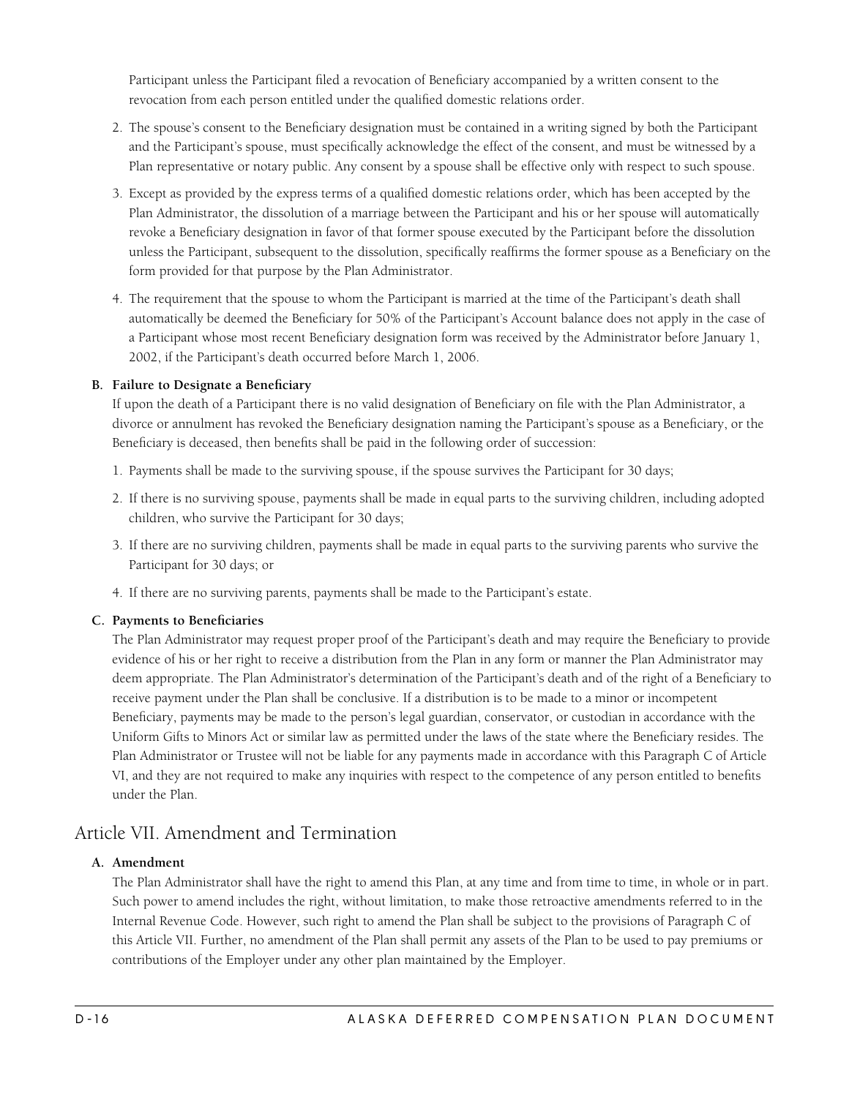<span id="page-15-0"></span>Participant unless the Participant filed a revocation of Beneficiary accompanied by a written consent to the revocation from each person entitled under the qualified domestic relations order.

- 2. The spouse's consent to the Beneficiary designation must be contained in a writing signed by both the Participant and the Participant's spouse, must specifically acknowledge the effect of the consent, and must be witnessed by a Plan representative or notary public. Any consent by a spouse shall be effective only with respect to such spouse.
- 3. Except as provided by the express terms of a qualified domestic relations order, which has been accepted by the Plan Administrator, the dissolution of a marriage between the Participant and his or her spouse will automatically revoke a Beneficiary designation in favor of that former spouse executed by the Participant before the dissolution unless the Participant, subsequent to the dissolution, specifically reaffirms the former spouse as a Beneficiary on the form provided for that purpose by the Plan Administrator.
- 4. The requirement that the spouse to whom the Participant is married at the time of the Participant's death shall automatically be deemed the Beneficiary for 50% of the Participant's Account balance does not apply in the case of a Participant whose most recent Beneficiary designation form was received by the Administrator before January 1, 2002, if the Participant's death occurred before March 1, 2006.

#### **B. Failure to Designate a Beneficiary**

If upon the death of a Participant there is no valid designation of Beneficiary on file with the Plan Administrator, a divorce or annulment has revoked the Beneficiary designation naming the Participant's spouse as a Beneficiary, or the Beneficiary is deceased, then benefits shall be paid in the following order of succession:

- 1. Payments shall be made to the surviving spouse, if the spouse survives the Participant for 30 days;
- 2. If there is no surviving spouse, payments shall be made in equal parts to the surviving children, including adopted children, who survive the Participant for 30 days;
- 3. If there are no surviving children, payments shall be made in equal parts to the surviving parents who survive the Participant for 30 days; or
- 4. If there are no surviving parents, payments shall be made to the Participant's estate.

#### **C. Payments to Beneficiaries**

The Plan Administrator may request proper proof of the Participant's death and may require the Beneficiary to provide evidence of his or her right to receive a distribution from the Plan in any form or manner the Plan Administrator may deem appropriate. The Plan Administrator's determination of the Participant's death and of the right of a Beneficiary to receive payment under the Plan shall be conclusive. If a distribution is to be made to a minor or incompetent Beneficiary, payments may be made to the person's legal guardian, conservator, or custodian in accordance with the Uniform Gifts to Minors Act or similar law as permitted under the laws of the state where the Beneficiary resides. The Plan Administrator or Trustee will not be liable for any payments made in accordance with this Paragraph C of Article VI, and they are not required to make any inquiries with respect to the competence of any person entitled to benefits under the Plan.

## Article VII. Amendment and Termination

#### **A. Amendment**

The Plan Administrator shall have the right to amend this Plan, at any time and from time to time, in whole or in part. Such power to amend includes the right, without limitation, to make those retroactive amendments referred to in the Internal Revenue Code. However, such right to amend the Plan shall be subject to the provisions of Paragraph C of this Article VII. Further, no amendment of the Plan shall permit any assets of the Plan to be used to pay premiums or contributions of the Employer under any other plan maintained by the Employer.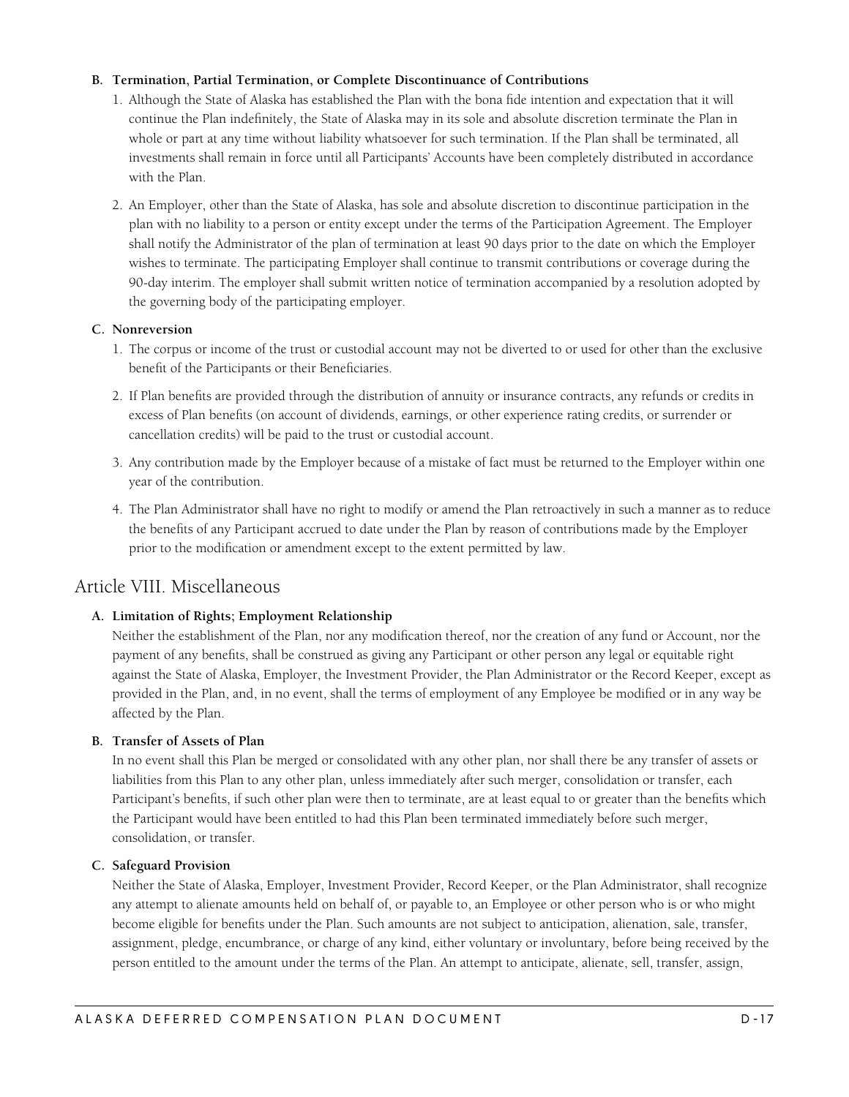#### <span id="page-16-0"></span>**B. Termination, Partial Termination, or Complete Discontinuance of Contributions**

- 1. Although the State of Alaska has established the Plan with the bona fide intention and expectation that it will continue the Plan indefinitely, the State of Alaska may in its sole and absolute discretion terminate the Plan in whole or part at any time without liability whatsoever for such termination. If the Plan shall be terminated, all investments shall remain in force until all Participants' Accounts have been completely distributed in accordance with the Plan.
- 2. An Employer, other than the State of Alaska, has sole and absolute discretion to discontinue participation in the plan with no liability to a person or entity except under the terms of the Participation Agreement. The Employer shall notify the Administrator of the plan of termination at least 90 days prior to the date on which the Employer wishes to terminate. The participating Employer shall continue to transmit contributions or coverage during the 90-day interim. The employer shall submit written notice of termination accompanied by a resolution adopted by the governing body of the participating employer.

#### **C. Nonreversion**

- 1. The corpus or income of the trust or custodial account may not be diverted to or used for other than the exclusive benefit of the Participants or their Beneficiaries.
- 2. If Plan benefits are provided through the distribution of annuity or insurance contracts, any refunds or credits in excess of Plan benefits (on account of dividends, earnings, or other experience rating credits, or surrender or cancellation credits) will be paid to the trust or custodial account.
- 3. Any contribution made by the Employer because of a mistake of fact must be returned to the Employer within one year of the contribution.
- 4. The Plan Administrator shall have no right to modify or amend the Plan retroactively in such a manner as to reduce the benefits of any Participant accrued to date under the Plan by reason of contributions made by the Employer prior to the modification or amendment except to the extent permitted by law.

### Article VIII. Miscellaneous

#### **A. Limitation of Rights; Employment Relationship**

Neither the establishment of the Plan, nor any modification thereof, nor the creation of any fund or Account, nor the payment of any benefits, shall be construed as giving any Participant or other person any legal or equitable right against the State of Alaska, Employer, the Investment Provider, the Plan Administrator or the Record Keeper, except as provided in the Plan, and, in no event, shall the terms of employment of any Employee be modified or in any way be affected by the Plan.

#### **B. Transfer of Assets of Plan**

In no event shall this Plan be merged or consolidated with any other plan, nor shall there be any transfer of assets or liabilities from this Plan to any other plan, unless immediately after such merger, consolidation or transfer, each Participant's benefits, if such other plan were then to terminate, are at least equal to or greater than the benefits which the Participant would have been entitled to had this Plan been terminated immediately before such merger, consolidation, or transfer.

#### **C. Safeguard Provision**

Neither the State of Alaska, Employer, Investment Provider, Record Keeper, or the Plan Administrator, shall recognize any attempt to alienate amounts held on behalf of, or payable to, an Employee or other person who is or who might become eligible for benefits under the Plan. Such amounts are not subject to anticipation, alienation, sale, transfer, assignment, pledge, encumbrance, or charge of any kind, either voluntary or involuntary, before being received by the person entitled to the amount under the terms of the Plan. An attempt to anticipate, alienate, sell, transfer, assign,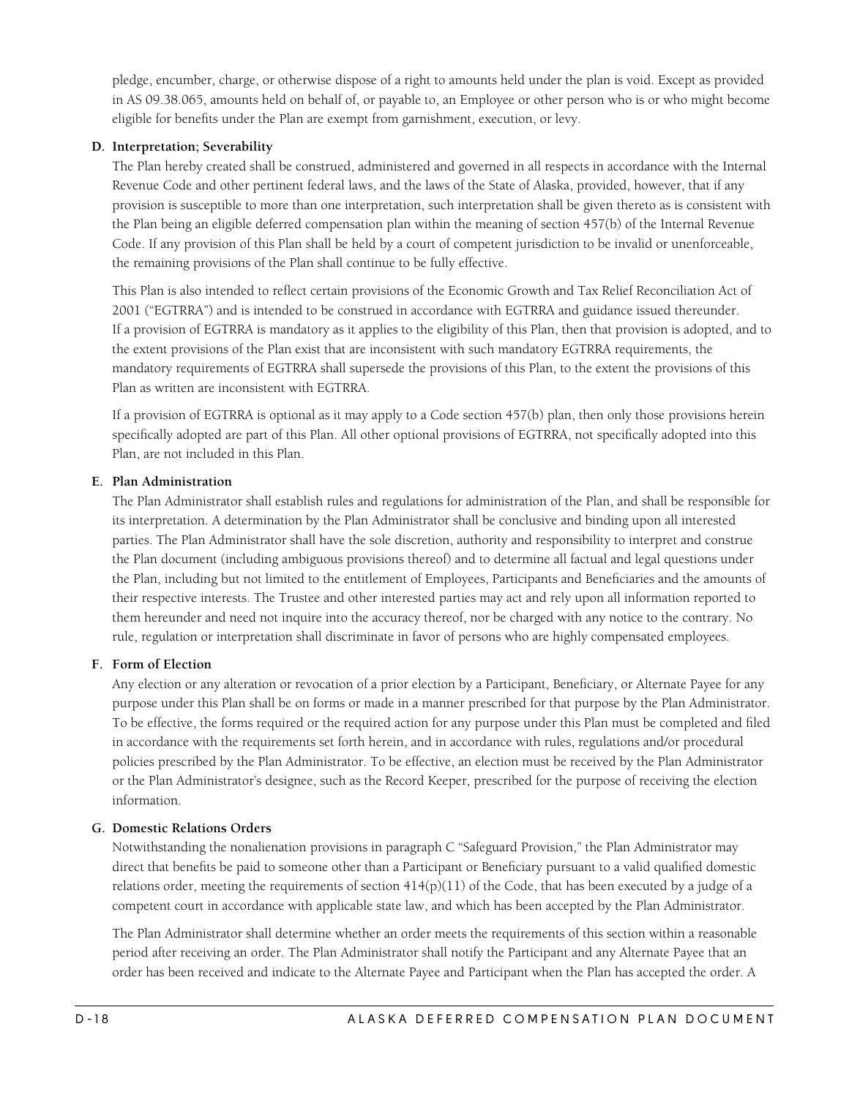<span id="page-17-0"></span>pledge, encumber, charge, or otherwise dispose of a right to amounts held under the plan is void. Except as provided in AS 09.38.065, amounts held on behalf of, or payable to, an Employee or other person who is or who might become eligible for benefits under the Plan are exempt from garnishment, execution, or levy.

#### **D. Interpretation; Severability**

The Plan hereby created shall be construed, administered and governed in all respects in accordance with the Internal Revenue Code and other pertinent federal laws, and the laws of the State of Alaska, provided, however, that if any provision is susceptible to more than one interpretation, such interpretation shall be given thereto as is consistent with the Plan being an eligible deferred compensation plan within the meaning of section 457(b) of the Internal Revenue Code. If any provision of this Plan shall be held by a court of competent jurisdiction to be invalid or unenforceable, the remaining provisions of the Plan shall continue to be fully effective.

This Plan is also intended to reflect certain provisions of the Economic Growth and Tax Relief Reconciliation Act of 2001 ("EGTRRA") and is intended to be construed in accordance with EGTRRA and guidance issued thereunder. If a provision of EGTRRA is mandatory as it applies to the eligibility of this Plan, then that provision is adopted, and to the extent provisions of the Plan exist that are inconsistent with such mandatory EGTRRA requirements, the mandatory requirements of EGTRRA shall supersede the provisions of this Plan, to the extent the provisions of this Plan as written are inconsistent with EGTRRA.

If a provision of EGTRRA is optional as it may apply to a Code section 457(b) plan, then only those provisions herein specifically adopted are part of this Plan. All other optional provisions of EGTRRA, not specifically adopted into this Plan, are not included in this Plan.

#### **E. Plan Administration**

The Plan Administrator shall establish rules and regulations for administration of the Plan, and shall be responsible for its interpretation. A determination by the Plan Administrator shall be conclusive and binding upon all interested parties. The Plan Administrator shall have the sole discretion, authority and responsibility to interpret and construe the Plan document (including ambiguous provisions thereof) and to determine all factual and legal questions under the Plan, including but not limited to the entitlement of Employees, Participants and Beneficiaries and the amounts of their respective interests. The Trustee and other interested parties may act and rely upon all information reported to them hereunder and need not inquire into the accuracy thereof, nor be charged with any notice to the contrary. No rule, regulation or interpretation shall discriminate in favor of persons who are highly compensated employees.

#### **F. Form of Election**

Any election or any alteration or revocation of a prior election by a Participant, Beneficiary, or Alternate Payee for any purpose under this Plan shall be on forms or made in a manner prescribed for that purpose by the Plan Administrator. To be effective, the forms required or the required action for any purpose under this Plan must be completed and filed in accordance with the requirements set forth herein, and in accordance with rules, regulations and/or procedural policies prescribed by the Plan Administrator. To be effective, an election must be received by the Plan Administrator or the Plan Administrator's designee, such as the Record Keeper, prescribed for the purpose of receiving the election information.

#### **G. Domestic Relations Orders**

Notwithstanding the nonalienation provisions in paragraph C "Safeguard Provision," the Plan Administrator may direct that benefits be paid to someone other than a Participant or Beneficiary pursuant to a valid qualified domestic relations order, meeting the requirements of section  $414(p)(11)$  of the Code, that has been executed by a judge of a competent court in accordance with applicable state law, and which has been accepted by the Plan Administrator.

The Plan Administrator shall determine whether an order meets the requirements of this section within a reasonable period after receiving an order. The Plan Administrator shall notify the Participant and any Alternate Payee that an order has been received and indicate to the Alternate Payee and Participant when the Plan has accepted the order. A